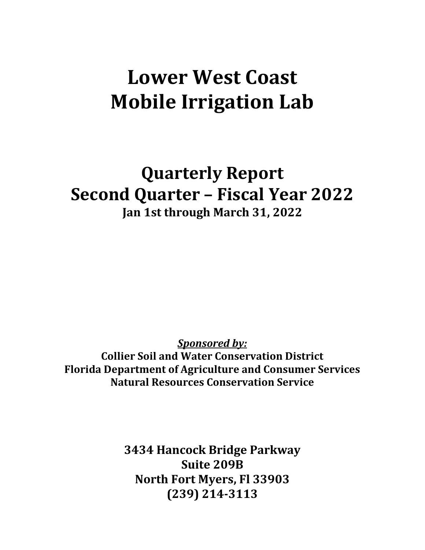# **Lower West Coast Mobile Irrigation Lab**

**Quarterly Report Second Quarter – Fiscal Year 2022 Jan 1st through March 31, 2022**

*Sponsored by:*

**Collier Soil and Water Conservation District Florida Department of Agriculture and Consumer Services Natural Resources Conservation Service**

> **3434 Hancock Bridge Parkway Suite 209B North Fort Myers, Fl 33903 (239) 214-3113**